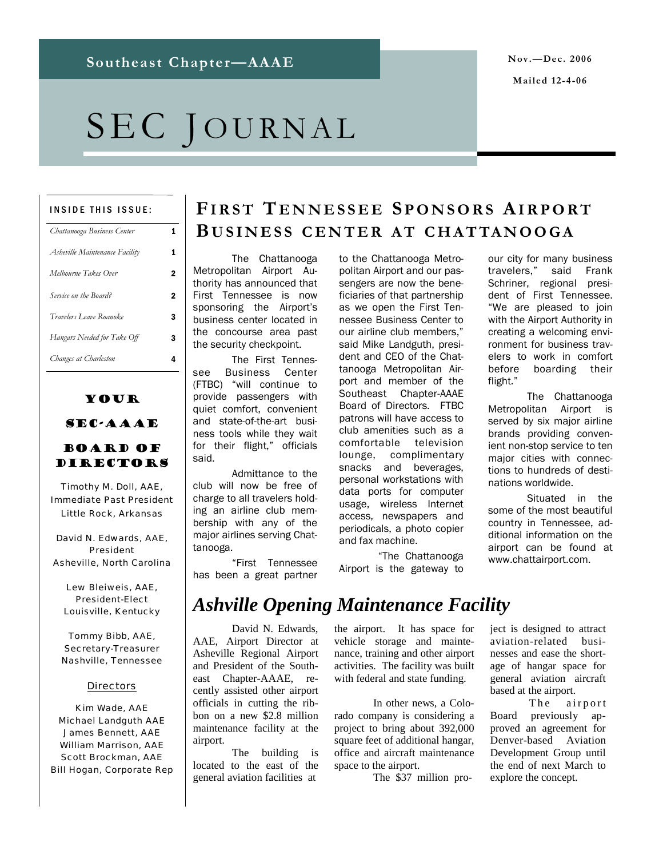### **Mailed 12-4-06**

# SEC JOURNAL

#### INSIDE THIS ISSUE:

| Chattanooga Business Center    |   |
|--------------------------------|---|
| Asheville Maintenance Facility |   |
| Melbourne Takes Over           | 2 |
| Service on the Board?          | 2 |
| Travelers Leave Roanoke        | 3 |
| Hangars Needed for Take Off    | 3 |
| Changes at Charleston          |   |

## Your

### SEC-AAAE

### Board of Directors

Timothy M. Doll, AAE, Immediate Past President Little Rock, Arkansas

David N. Edwards, AAE, President Asheville, North Carolina

Lew Bleiweis, AAE, President-Elect Louisville, Kentucky

Tommy Bibb, AAE, Secretary-Treasurer Nashville, Tennessee

#### **Directors**

Kim Wade, AAE Michael Landguth AAE James Bennett, AAE William Marrison, AAE Scott Brockman, AAE Bill Hogan, Corporate Rep

## **FIRST T ENNESSEE S PONSORS AIRPORT B USINESS CENTER A T CHATTANOOGA**

 The Chattanooga Metropolitan Airport Authority has announced that First Tennessee is now sponsoring the Airport's business center located in the concourse area past the security checkpoint.

 The First Tennessee Business Center (FTBC) "will continue to provide passengers with quiet comfort, convenient and state-of-the-art business tools while they wait for their flight," officials said.

 Admittance to the club will now be free of charge to all travelers holding an airline club membership with any of the major airlines serving Chattanooga.

 "First Tennessee has been a great partner to the Chattanooga Metropolitan Airport and our passengers are now the beneficiaries of that partnership as we open the First Tennessee Business Center to our airline club members," said Mike Landguth, president and CEO of the Chattanooga Metropolitan Airport and member of the Southeast Chapter-AAAE Board of Directors. FTBC patrons will have access to club amenities such as a comfortable television lounge, complimentary snacks and beverages, personal workstations with data ports for computer usage, wireless Internet access, newspapers and periodicals, a photo copier and fax machine.

 "The Chattanooga Airport is the gateway to our city for many business travelers," said Frank Schriner, regional president of First Tennessee. "We are pleased to join with the Airport Authority in creating a welcoming environment for business travelers to work in comfort before boarding their flight."

 The Chattanooga Metropolitan Airport is served by six major airline brands providing convenient non-stop service to ten major cities with connections to hundreds of destinations worldwide.

 Situated in the some of the most beautiful country in Tennessee, additional information on the airport can be found at www.chattairport.com.

## *Ashville Opening Maintenance Facility*

 David N. Edwards, AAE, Airport Director at Asheville Regional Airport and President of the Southeast Chapter-AAAE, recently assisted other airport officials in cutting the ribbon on a new \$2.8 million maintenance facility at the airport.

 The building is located to the east of the general aviation facilities at

the airport. It has space for vehicle storage and maintenance, training and other airport activities. The facility was built with federal and state funding.

 In other news, a Colorado company is considering a project to bring about 392,000 square feet of additional hangar, office and aircraft maintenance space to the airport.

The \$37 million pro-

ject is designed to attract aviation-related businesses and ease the shortage of hangar space for general aviation aircraft based at the airport.

The airport Board previously approved an agreement for Denver-based Aviation Development Group until the end of next March to explore the concept.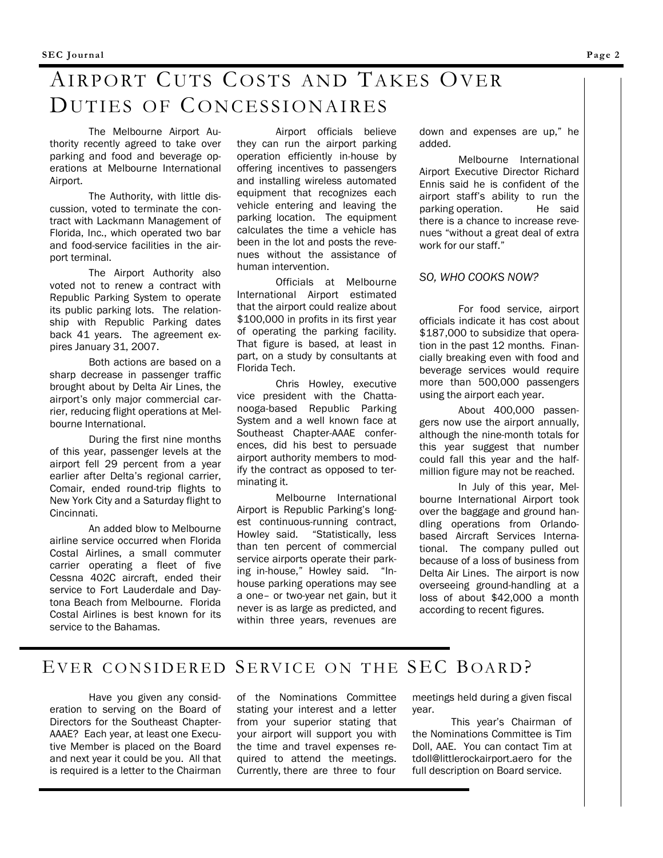## AIRPORT CUTS COSTS AND TAKES OVER DUTIES OF CONCESSIONAIRES

 The Melbourne Airport Authority recently agreed to take over parking and food and beverage operations at Melbourne International Airport.

 The Authority, with little discussion, voted to terminate the contract with Lackmann Management of Florida, Inc., which operated two bar and food-service facilities in the airport terminal.

 The Airport Authority also voted not to renew a contract with Republic Parking System to operate its public parking lots. The relationship with Republic Parking dates back 41 years. The agreement expires January 31, 2007.

 Both actions are based on a sharp decrease in passenger traffic brought about by Delta Air Lines, the airport's only major commercial carrier, reducing flight operations at Melbourne International.

 During the first nine months of this year, passenger levels at the airport fell 29 percent from a year earlier after Delta's regional carrier, Comair, ended round-trip flights to New York City and a Saturday flight to Cincinnati.

 An added blow to Melbourne airline service occurred when Florida Costal Airlines, a small commuter carrier operating a fleet of five Cessna 402C aircraft, ended their service to Fort Lauderdale and Daytona Beach from Melbourne. Florida Costal Airlines is best known for its service to the Bahamas.

 Airport officials believe they can run the airport parking operation efficiently in-house by offering incentives to passengers and installing wireless automated equipment that recognizes each vehicle entering and leaving the parking location. The equipment calculates the time a vehicle has been in the lot and posts the revenues without the assistance of human intervention.

 Officials at Melbourne International Airport estimated that the airport could realize about \$100,000 in profits in its first year of operating the parking facility. That figure is based, at least in part, on a study by consultants at Florida Tech.

 Chris Howley, executive vice president with the Chattanooga-based Republic Parking System and a well known face at Southeast Chapter-AAAE conferences, did his best to persuade airport authority members to modify the contract as opposed to terminating it.

 Melbourne International Airport is Republic Parking's longest continuous-running contract, Howley said. "Statistically, less than ten percent of commercial service airports operate their parking in-house," Howley said. "Inhouse parking operations may see a one– or two-year net gain, but it never is as large as predicted, and within three years, revenues are

down and expenses are up," he added.

 Melbourne International Airport Executive Director Richard Ennis said he is confident of the airport staff's ability to run the parking operation. He said there is a chance to increase revenues "without a great deal of extra work for our staff."

### *SO, WHO COOKS NOW?*

 For food service, airport officials indicate it has cost about \$187,000 to subsidize that operation in the past 12 months. Financially breaking even with food and beverage services would require more than 500,000 passengers using the airport each year.

 About 400,000 passengers now use the airport annually, although the nine-month totals for this year suggest that number could fall this year and the halfmillion figure may not be reached.

 In July of this year, Melbourne International Airport took over the baggage and ground handling operations from Orlandobased Aircraft Services International. The company pulled out because of a loss of business from Delta Air Lines. The airport is now overseeing ground-handling at a loss of about \$42,000 a month according to recent figures.

### EVER CONSIDERED SERVICE ON THE SEC BOARD?

 Have you given any consideration to serving on the Board of Directors for the Southeast Chapter-AAAE? Each year, at least one Executive Member is placed on the Board and next year it could be you. All that is required is a letter to the Chairman of the Nominations Committee stating your interest and a letter from your superior stating that your airport will support you with the time and travel expenses required to attend the meetings. Currently, there are three to four

meetings held during a given fiscal year.

 This year's Chairman of the Nominations Committee is Tim Doll, AAE. You can contact Tim at tdoll@littlerockairport.aero for the full description on Board service.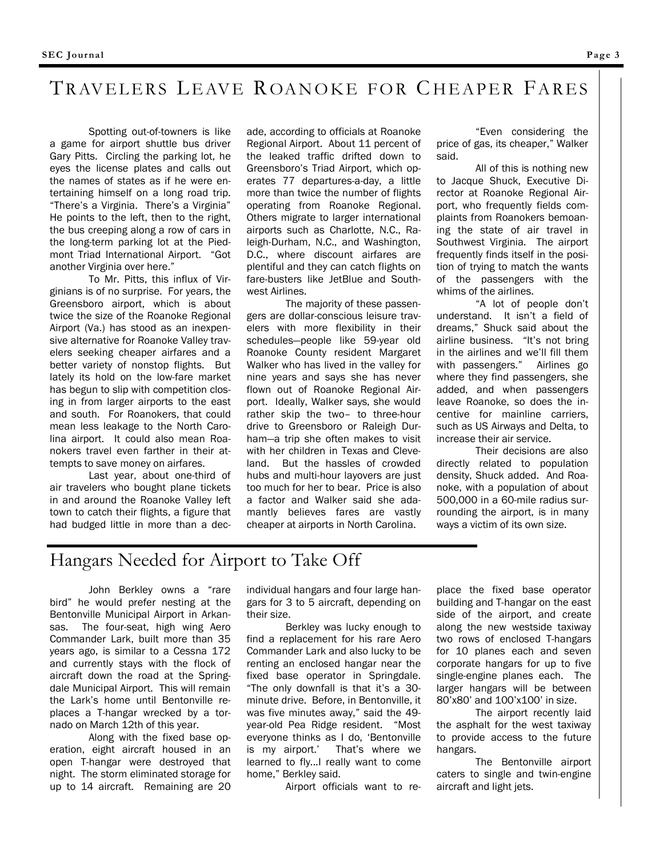## TRAVELERS LEAVE ROANOKE FOR CHEAPER FARES

 Spotting out-of-towners is like a game for airport shuttle bus driver Gary Pitts. Circling the parking lot, he eyes the license plates and calls out the names of states as if he were entertaining himself on a long road trip. "There's a Virginia. There's a Virginia" He points to the left, then to the right, the bus creeping along a row of cars in the long-term parking lot at the Piedmont Triad International Airport. "Got another Virginia over here."

 To Mr. Pitts, this influx of Virginians is of no surprise. For years, the Greensboro airport, which is about twice the size of the Roanoke Regional Airport (Va.) has stood as an inexpensive alternative for Roanoke Valley travelers seeking cheaper airfares and a better variety of nonstop flights. But lately its hold on the low-fare market has begun to slip with competition closing in from larger airports to the east and south. For Roanokers, that could mean less leakage to the North Carolina airport. It could also mean Roanokers travel even farther in their attempts to save money on airfares.

 Last year, about one-third of air travelers who bought plane tickets in and around the Roanoke Valley left town to catch their flights, a figure that had budged little in more than a dec-

ade, according to officials at Roanoke Regional Airport. About 11 percent of the leaked traffic drifted down to Greensboro's Triad Airport, which operates 77 departures-a-day, a little more than twice the number of flights operating from Roanoke Regional. Others migrate to larger international airports such as Charlotte, N.C., Raleigh-Durham, N.C., and Washington, D.C., where discount airfares are plentiful and they can catch flights on fare-busters like JetBlue and Southwest Airlines.

 The majority of these passengers are dollar-conscious leisure travelers with more flexibility in their schedules—people like 59-year old Roanoke County resident Margaret Walker who has lived in the valley for nine years and says she has never flown out of Roanoke Regional Airport. Ideally, Walker says, she would rather skip the two– to three-hour drive to Greensboro or Raleigh Durham—a trip she often makes to visit with her children in Texas and Cleveland. But the hassles of crowded hubs and multi-hour layovers are just too much for her to bear. Price is also a factor and Walker said she adamantly believes fares are vastly cheaper at airports in North Carolina.

 "Even considering the price of gas, its cheaper," Walker said.

 All of this is nothing new to Jacque Shuck, Executive Director at Roanoke Regional Airport, who frequently fields complaints from Roanokers bemoaning the state of air travel in Southwest Virginia. The airport frequently finds itself in the position of trying to match the wants of the passengers with the whims of the airlines.

 "A lot of people don't understand. It isn't a field of dreams," Shuck said about the airline business. "It's not bring in the airlines and we'll fill them with passengers." Airlines go where they find passengers, she added, and when passengers leave Roanoke, so does the incentive for mainline carriers, such as US Airways and Delta, to increase their air service.

 Their decisions are also directly related to population density, Shuck added. And Roanoke, with a population of about 500,000 in a 60-mile radius surrounding the airport, is in many ways a victim of its own size.

### Hangars Needed for Airport to Take Off

John Berkley owns a "rare bird" he would prefer nesting at the Bentonville Municipal Airport in Arkansas. The four-seat, high wing Aero Commander Lark, built more than 35 years ago, is similar to a Cessna 172 and currently stays with the flock of aircraft down the road at the Springdale Municipal Airport. This will remain the Lark's home until Bentonville replaces a T-hangar wrecked by a tornado on March 12th of this year.

 Along with the fixed base operation, eight aircraft housed in an open T-hangar were destroyed that night. The storm eliminated storage for up to 14 aircraft. Remaining are 20

individual hangars and four large hangars for 3 to 5 aircraft, depending on their size.

 Berkley was lucky enough to find a replacement for his rare Aero Commander Lark and also lucky to be renting an enclosed hangar near the fixed base operator in Springdale. "The only downfall is that it's a 30 minute drive. Before, in Bentonville, it was five minutes away," said the 49 year-old Pea Ridge resident. "Most everyone thinks as I do, 'Bentonville is my airport.' That's where we learned to fly...I really want to come home," Berkley said.

Airport officials want to re-

place the fixed base operator building and T-hangar on the east side of the airport, and create along the new westside taxiway two rows of enclosed T-hangars for 10 planes each and seven corporate hangars for up to five single-engine planes each. The larger hangars will be between 80'x80' and 100'x100' in size.

 The airport recently laid the asphalt for the west taxiway to provide access to the future hangars.

 The Bentonville airport caters to single and twin-engine aircraft and light jets.